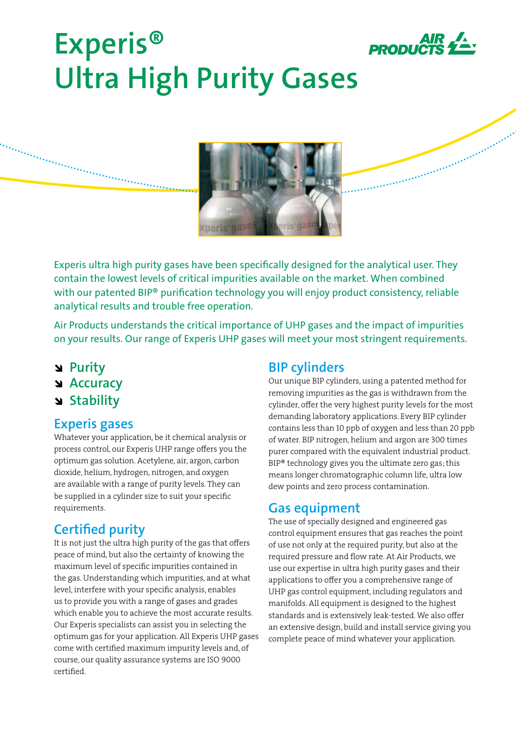

# **Experis® Ultra High Purity Gases**



Experis ultra high purity gases have been specifically designed for the analytical user. They contain the lowest levels of critical impurities available on the market. When combined with our patented BIP<sup>®</sup> purification technology you will enjoy product consistency, reliable analytical results and trouble free operation.

Air Products understands the critical importance of UHP gases and the impact of impurities on your results. Our range of Experis UHP gases will meet your most stringent requirements.

- î **Purity**
- **N** Accuracy
- î **Stability**

### **Experis gases**

Whatever your application, be it chemical analysis or process control, our Experis UHP range offers you the optimum gas solution. Acetylene, air, argon, carbon dioxide, helium, hydrogen, nitrogen, and oxygen are available with a range of purity levels. They can be supplied in a cylinder size to suit your specific requirements.

# **Certified purity**

It is not just the ultra high purity of the gas that offers peace of mind, but also the certainty of knowing the maximum level of specific impurities contained in the gas. Understanding which impurities, and at what level, interfere with your specific analysis, enables us to provide you with a range of gases and grades which enable you to achieve the most accurate results. Our Experis specialists can assist you in selecting the optimum gas for your application. All Experis UHP gases come with certified maximum impurity levels and, of course, our quality assurance systems are ISO 9000 certified.

## **BIP cylinders**

Our unique BIP cylinders, using a patented method for removing impurities as the gas is withdrawn from the cylinder, offer the very highest purity levels for the most demanding laboratory applications. Every BIP cylinder contains less than 10 ppb of oxygen and less than 20 ppb of water. BIP nitrogen, helium and argon are 300 times purer compared with the equivalent industrial product. BIP® technology gives you the ultimate zero gas; this means longer chromatographic column life, ultra low dew points and zero process contamination.

## **Gas equipment**

The use of specially designed and engineered gas control equipment ensures that gas reaches the point of use not only at the required purity, but also at the required pressure and flow rate. At Air Products, we use our expertise in ultra high purity gases and their applications to offer you a comprehensive range of UHP gas control equipment, including regulators and manifolds. All equipment is designed to the highest standards and is extensively leak-tested. We also offer an extensive design, build and install service giving you complete peace of mind whatever your application.